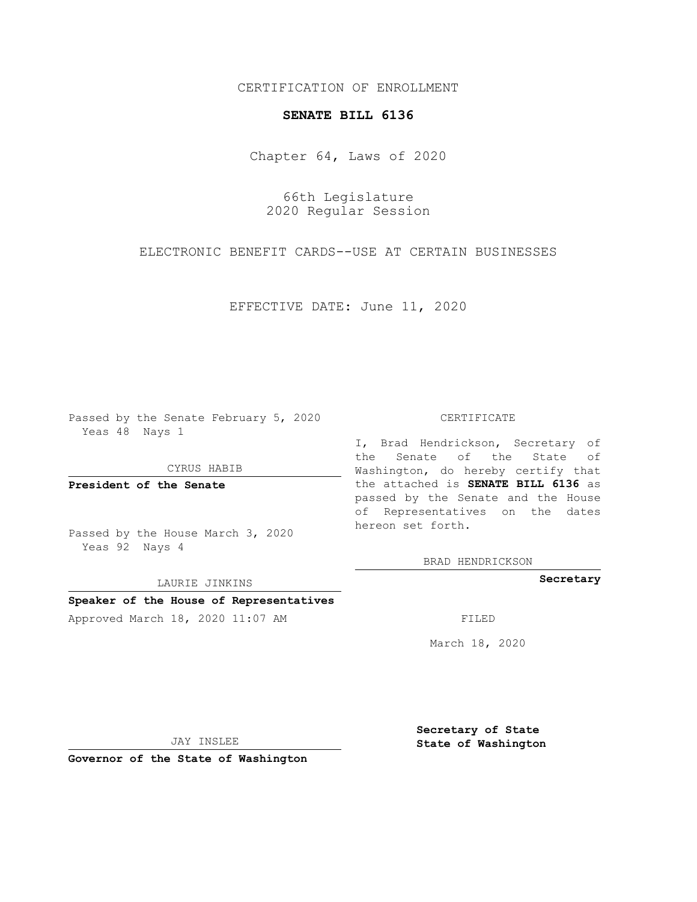### CERTIFICATION OF ENROLLMENT

#### **SENATE BILL 6136**

Chapter 64, Laws of 2020

66th Legislature 2020 Regular Session

ELECTRONIC BENEFIT CARDS--USE AT CERTAIN BUSINESSES

EFFECTIVE DATE: June 11, 2020

Passed by the Senate February 5, 2020 Yeas 48 Nays 1

CYRUS HABIB

**President of the Senate**

Passed by the House March 3, 2020 Yeas 92 Nays 4

LAURIE JINKINS

## **Speaker of the House of Representatives**

Approved March 18, 2020 11:07 AM

#### CERTIFICATE

I, Brad Hendrickson, Secretary of the Senate of the State of Washington, do hereby certify that the attached is **SENATE BILL 6136** as passed by the Senate and the House of Representatives on the dates hereon set forth.

BRAD HENDRICKSON

**Secretary**

March 18, 2020

JAY INSLEE

**Governor of the State of Washington**

**Secretary of State State of Washington**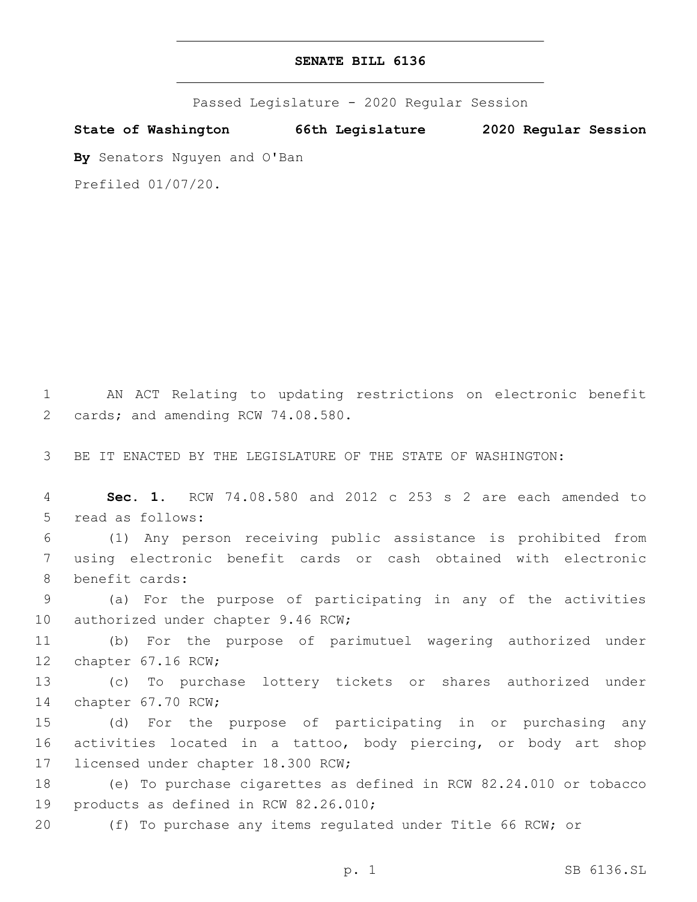# **SENATE BILL 6136**

Passed Legislature - 2020 Regular Session

**State of Washington 66th Legislature 2020 Regular Session**

**By** Senators Nguyen and O'Ban

Prefiled 01/07/20.

1 AN ACT Relating to updating restrictions on electronic benefit 2 cards; and amending RCW 74.08.580.

3 BE IT ENACTED BY THE LEGISLATURE OF THE STATE OF WASHINGTON:

4 **Sec. 1.** RCW 74.08.580 and 2012 c 253 s 2 are each amended to 5 read as follows:

6 (1) Any person receiving public assistance is prohibited from 7 using electronic benefit cards or cash obtained with electronic 8 benefit cards:

9 (a) For the purpose of participating in any of the activities 10 authorized under chapter 9.46 RCW;

11 (b) For the purpose of parimutuel wagering authorized under 12 chapter 67.16 RCW;

13 (c) To purchase lottery tickets or shares authorized under 14 chapter 67.70 RCW;

15 (d) For the purpose of participating in or purchasing any 16 activities located in a tattoo, body piercing, or body art shop 17 licensed under chapter 18.300 RCW;

18 (e) To purchase cigarettes as defined in RCW 82.24.010 or tobacco 19 products as defined in RCW 82.26.010;

20 (f) To purchase any items regulated under Title 66 RCW; or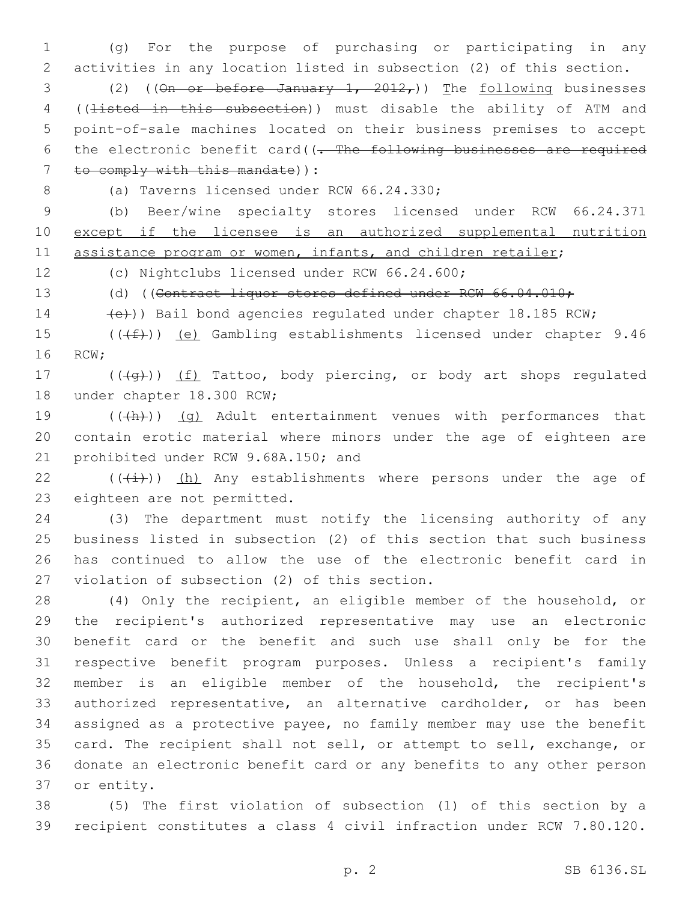1 (g) For the purpose of purchasing or participating in any 2 activities in any location listed in subsection (2) of this section.

3 (2) (( $\Theta$ n or before January 1, 2012,)) The following businesses 4 ((listed in this subsection)) must disable the ability of ATM and 5 point-of-sale machines located on their business premises to accept 6 the electronic benefit card((- The following businesses are required  $7$  to comply with this mandate) :

8 (a) Taverns licensed under RCW 66.24.330;

9 (b) Beer/wine specialty stores licensed under RCW 66.24.371 10 except if the licensee is an authorized supplemental nutrition 11 assistance program or women, infants, and children retailer;

12 (c) Nightclubs licensed under RCW 66.24.600;

13 (d) ((Contract liquor stores defined under RCW 66.04.010;

14 (e)) Bail bond agencies regulated under chapter 18.185 RCW;

15  $((\text{#}))$  (e) Gambling establishments licensed under chapter 9.46 16 RCW:

17 (((+g)) (f) Tattoo, body piercing, or body art shops regulated 18 under chapter 18.300 RCW;

19 (((h)) (g) Adult entertainment venues with performances that 20 contain erotic material where minors under the age of eighteen are 21 prohibited under RCW 9.68A.150; and

22 ( $(\frac{1}{1})$ ) (h) Any establishments where persons under the age of 23 eighteen are not permitted.

 (3) The department must notify the licensing authority of any business listed in subsection (2) of this section that such business has continued to allow the use of the electronic benefit card in 27 violation of subsection (2) of this section.

 (4) Only the recipient, an eligible member of the household, or the recipient's authorized representative may use an electronic benefit card or the benefit and such use shall only be for the respective benefit program purposes. Unless a recipient's family member is an eligible member of the household, the recipient's authorized representative, an alternative cardholder, or has been assigned as a protective payee, no family member may use the benefit card. The recipient shall not sell, or attempt to sell, exchange, or donate an electronic benefit card or any benefits to any other person 37 or entity.

38 (5) The first violation of subsection (1) of this section by a 39 recipient constitutes a class 4 civil infraction under RCW 7.80.120.